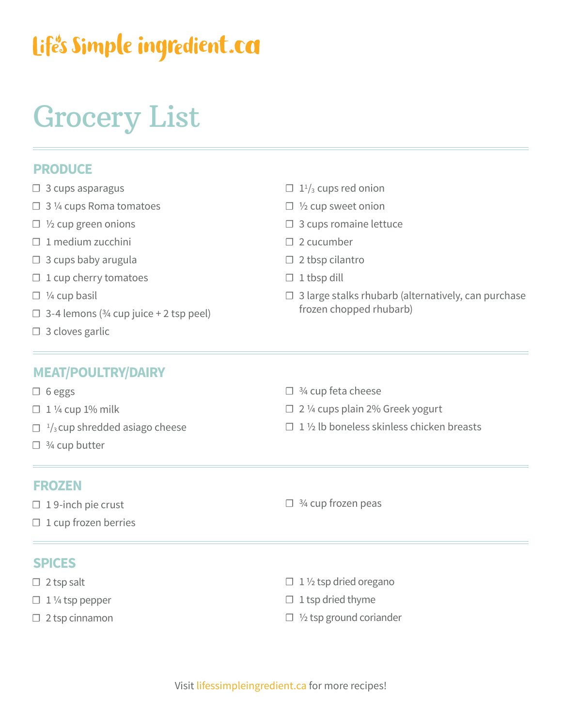# Life's Simple ingredient.ca

# Grocery List

## **PRODUCE**

- $\Box$  3 cups asparagus
- □ 3 ¼ cups Roma tomatoes
- $\square$  1/2 cup green onions
- ☐ 1 medium zucchini
- $\Box$  3 cups baby arugula
- $\Box$  1 cup cherry tomatoes
- $\Box$  1/4 cup basil
- $\Box$  3-4 lemons ( $\frac{3}{4}$  cup juice + 2 tsp peel)
- $\Box$  3 cloves garlic
- $\Box$  1<sup>1</sup>/<sub>3</sub> cups red onion
- $\square$  1/2 cup sweet onion
- □ 3 cups romaine lettuce
- □ 2 cucumber
- $\Box$  2 tbsp cilantro
- $\Box$  1 tbsp dill
- $\Box$  3 large stalks rhubarb (alternatively, can purchase frozen chopped rhubarb)

### **MEAT/POULTRY/DAIRY**

- ☐ 6 eggs
- $\Box$  1 ¼ cup 1% milk
- $\Box$  <sup>1</sup>/<sub>3</sub> cup shredded asiago cheese
- $\Box$  3/4 cup butter
- $\Box$  3/4 cup feta cheese
- ☐ 2 ¼ cups plain 2% Greek yogurt
- $\Box$  1 % lb boneless skinless chicken breasts

#### **FROZEN**

- ☐ 1 9-inch pie crust
- $\Box$  1 cup frozen berries

#### **SPICES**

- $\Box$  2 tsp salt
- $\Box$  1 1/<sub>4</sub> tsp pepper
- $\square$  2 tsp cinnamon

□ ¾ cup frozen peas

Visit lifessimpleingredient.ca for more recipes!

- - $\Box$  1 1/2 tsp dried oregano
	- $\Box$  1 tsp dried thyme
	- $\Box$  1/2 tsp ground coriander